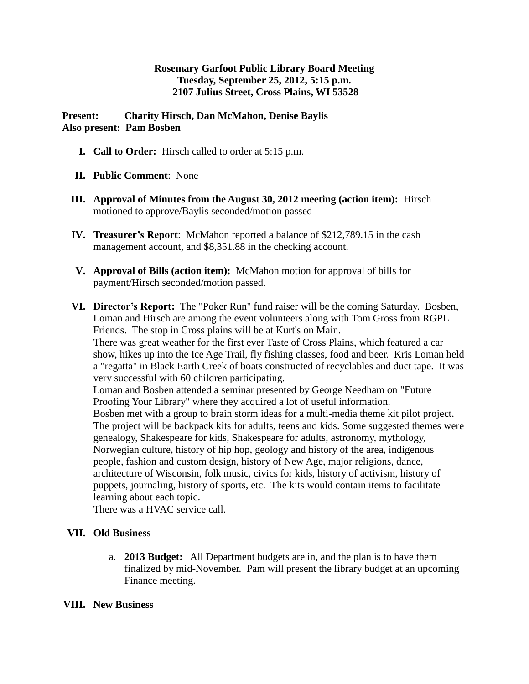## **Rosemary Garfoot Public Library Board Meeting Tuesday, September 25, 2012, 5:15 p.m. 2107 Julius Street, Cross Plains, WI 53528**

**Present: Charity Hirsch, Dan McMahon, Denise Baylis Also present: Pam Bosben**

- **I. Call to Order:** Hirsch called to order at 5:15 p.m.
- **II. Public Comment**: None
- **III. Approval of Minutes from the August 30, 2012 meeting (action item):** Hirsch motioned to approve/Baylis seconded/motion passed
- **IV. Treasurer's Report**: McMahon reported a balance of \$212,789.15 in the cash management account, and \$8,351.88 in the checking account.
- **V. Approval of Bills (action item):** McMahon motion for approval of bills for payment/Hirsch seconded/motion passed.
- **VI. Director's Report:** The "Poker Run" fund raiser will be the coming Saturday. Bosben, Loman and Hirsch are among the event volunteers along with Tom Gross from RGPL Friends. The stop in Cross plains will be at Kurt's on Main. There was great weather for the first ever Taste of Cross Plains, which featured a car

show, hikes up into the Ice Age Trail, fly fishing classes, food and beer. Kris Loman held a "regatta" in Black Earth Creek of boats constructed of recyclables and duct tape. It was very successful with 60 children participating.

Loman and Bosben attended a seminar presented by George Needham on "Future Proofing Your Library" where they acquired a lot of useful information.

Bosben met with a group to brain storm ideas for a multi-media theme kit pilot project. The project will be backpack kits for adults, teens and kids. Some suggested themes were genealogy, Shakespeare for kids, Shakespeare for adults, astronomy, mythology, Norwegian culture, history of hip hop, geology and history of the area, indigenous people, fashion and custom design, history of New Age, major religions, dance, architecture of Wisconsin, folk music, civics for kids, history of activism, history of puppets, journaling, history of sports, etc. The kits would contain items to facilitate learning about each topic.

There was a HVAC service call.

## **VII. Old Business**

a. **2013 Budget:** All Department budgets are in, and the plan is to have them finalized by mid-November. Pam will present the library budget at an upcoming Finance meeting.

## **VIII. New Business**